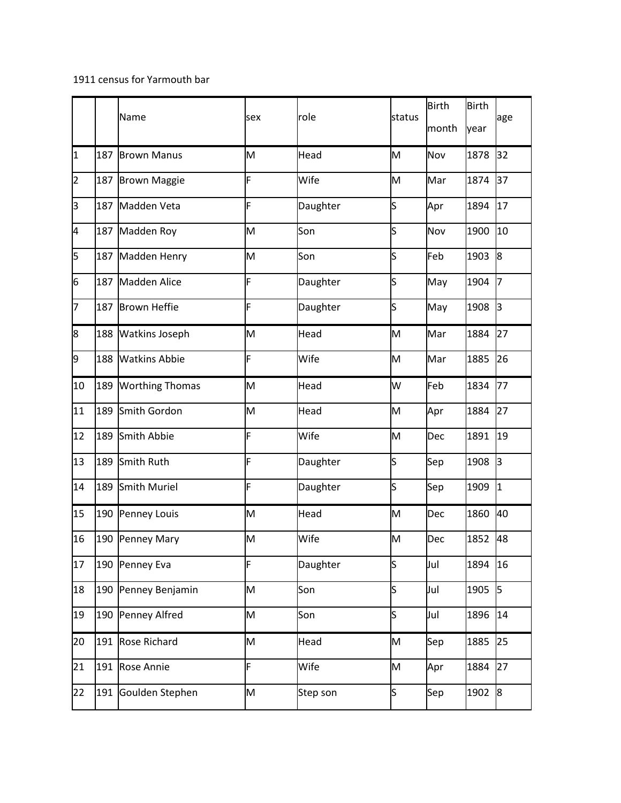## 1911 census for Yarmouth bar

|    |     | Name                   | sex | role     | status                  | <b>Birth</b> | <b>Birth</b> | age |
|----|-----|------------------------|-----|----------|-------------------------|--------------|--------------|-----|
|    |     |                        |     |          |                         | month        | year         |     |
| I1 | 187 | <b>Brown Manus</b>     | M   | Head     | M                       | Nov          | 1878         | 32  |
| 2  | 187 | <b>Brown Maggie</b>    | F   | Wife     | M                       | Mar          | 1874         | 37  |
| lз | 187 | Madden Veta            | F   | Daughter | S                       | Apr          | 1894         | 17  |
| 4  | 187 | Madden Roy             | M   | Son      | S                       | Nov          | 1900         | 10  |
| 5  | 187 | Madden Henry           | M   | Son      | s                       | Feb          | 1903         | 8   |
| 6  | 187 | <b>Madden Alice</b>    | F   | Daughter | S                       | May          | 1904         | l7  |
| 17 | 187 | <b>Brown Heffie</b>    | F   | Daughter | S                       | May          | 1908         | lз  |
| 8  | 188 | <b>Watkins Joseph</b>  | M   | Head     | M                       | Mar          | 1884         | 27  |
| 9  | 188 | <b>Watkins Abbie</b>   | F   | Wife     | M                       | Mar          | 1885         | 26  |
| 10 | 189 | <b>Worthing Thomas</b> | M   | Head     | W                       | Feb          | 1834         | 77  |
| 11 | 189 | Smith Gordon           | M   | Head     | M                       | Apr          | 1884         | 27  |
| 12 | 189 | Smith Abbie            | F   | Wife     | M                       | Dec          | 1891         | 19  |
| 13 | 189 | Smith Ruth             | F   | Daughter | S                       | Sep          | 1908         | lз  |
| 14 | 189 | Smith Muriel           | F   | Daughter | s                       | Sep          | 1909         | 1   |
| 15 | 190 | Penney Louis           | M   | Head     | M                       | Dec          | 1860         | 40  |
| 16 | 190 | Penney Mary            | M   | Wife     | M                       | Dec          | 1852         | 48  |
| 17 | 190 | Penney Eva             | F   | Daughter | s                       | Jul          | 1894         | 16  |
| 18 | 190 | Penney Benjamin        | M   | Son      | $\overline{\mathsf{s}}$ | Jul          | 1905         | 5   |
| 19 | 190 | Penney Alfred          | M   | Son      | s                       | Jul          | 1896         | 14  |
| 20 | 191 | Rose Richard           | M   | Head     | M                       | Sep          | 1885         | 25  |
| 21 | 191 | Rose Annie             | F   | Wife     | M                       | Apr          | 1884         | 27  |
| 22 | 191 | Goulden Stephen        | M   | Step son | $\mathsf{s}$            | Sep          | 1902         | 8   |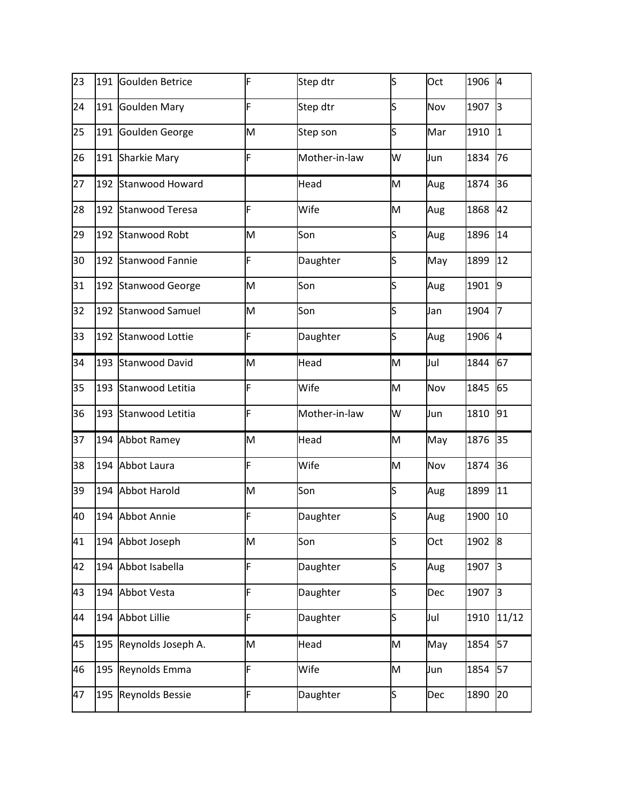| 23 | 191 | Goulden Betrice        | F | Step dtr      | S  | Oct | 1906 | <sup>4</sup> |
|----|-----|------------------------|---|---------------|----|-----|------|--------------|
| 24 | 191 | <b>Goulden Mary</b>    | F | Step dtr      | ls | Nov | 1907 | lз           |
| 25 | 191 | Goulden George         | M | Step son      | S  | Mar | 1910 | <sup>1</sup> |
| 26 | 191 | <b>Sharkie Mary</b>    | F | Mother-in-law | W  | Jun | 1834 | 76           |
| 27 | 192 | Stanwood Howard        |   | Head          | M  | Aug | 1874 | 36           |
| 28 | 192 | <b>Stanwood Teresa</b> | F | Wife          | M  | Aug | 1868 | 42           |
| 29 | 192 | Stanwood Robt          | M | Son           | S  | Aug | 1896 | 14           |
| 30 | 192 | <b>Stanwood Fannie</b> | F | Daughter      | ls | May | 1899 | 12           |
| 31 | 192 | <b>Stanwood George</b> | M | Son           | S  | Aug | 1901 | 9            |
| 32 | 192 | <b>Stanwood Samuel</b> | M | Son           | S  | Jan | 1904 | l7           |
| 33 | 192 | Stanwood Lottie        | F | Daughter      | S  | Aug | 1906 | 4            |
| 34 | 193 | <b>Stanwood David</b>  | M | Head          | M  | Jul | 1844 | 67           |
| 35 | 193 | Stanwood Letitia       | F | Wife          | M  | Nov | 1845 | 65           |
| 36 | 193 | Stanwood Letitia       | F | Mother-in-law | W  | Jun | 1810 | 91           |
| 37 | 194 | Abbot Ramey            | M | Head          | M  | May | 1876 | 35           |
| 38 |     | 194 Abbot Laura        | F | Wife          | M  | Nov | 1874 | 36           |
| 39 |     | 194 Abbot Harold       | M | Son           | S  | Aug | 1899 | 11           |
| 40 | 194 | Abbot Annie            | F | Daughter      | S  | Aug | 1900 | 10           |
| 41 | 194 | Abbot Joseph           | M | Son           | S  | Oct | 1902 | 8            |
| 42 | 194 | Abbot Isabella         | F | Daughter      | S  | Aug | 1907 | Iз           |
| 43 | 194 | Abbot Vesta            | F | Daughter      | s  | Dec | 1907 | 3            |
| 44 | 194 | <b>Abbot Lillie</b>    | F | Daughter      | S  | Jul | 1910 | 11/12        |
| 45 | 195 | Reynolds Joseph A.     | M | Head          | M  | May | 1854 | 57           |
| 46 | 195 | Reynolds Emma          | F | Wife          | M  | Jun | 1854 | 57           |
| 47 | 195 | Reynolds Bessie        | F | Daughter      | S  | Dec | 1890 | 20           |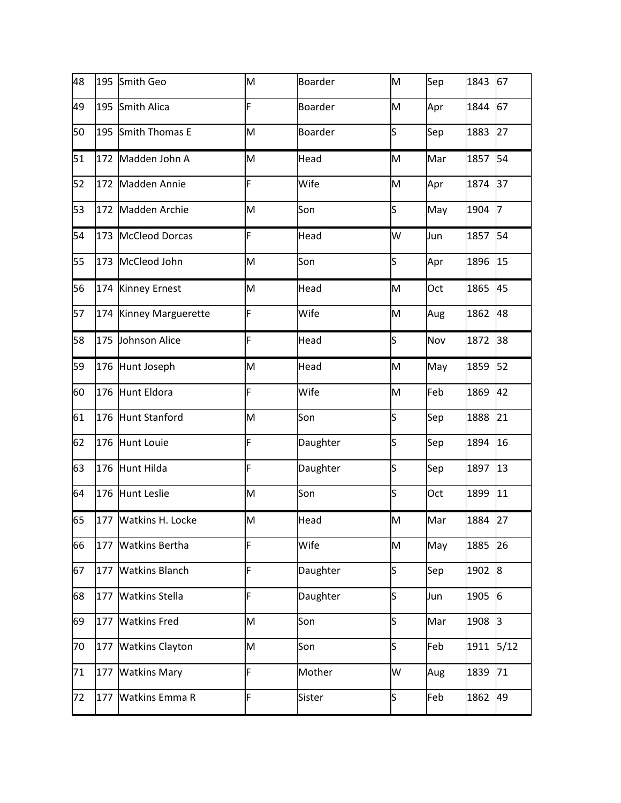| 48 | 195 | Smith Geo              | M | <b>Boarder</b> | M  | Sep | 1843 | 67   |
|----|-----|------------------------|---|----------------|----|-----|------|------|
| 49 | 195 | Smith Alica            | F | <b>Boarder</b> | M  | Apr | 1844 | 67   |
| 50 |     | 195 Smith Thomas E     | M | <b>Boarder</b> | ls | Sep | 1883 | 27   |
| 51 | 172 | Madden John A          | M | Head           | M  | Mar | 1857 | 54   |
| 52 | 172 | Madden Annie           | F | Wife           | M  | Apr | 1874 | 37   |
| 53 |     | 172 Madden Archie      | M | Son            | ls | May | 1904 | 17   |
| 54 |     | 173 McCleod Dorcas     | F | Head           | W  | Jun | 1857 | 54   |
| 55 |     | 173 McCleod John       | M | Son            | ls | Apr | 1896 | 15   |
| 56 |     | 174 Kinney Ernest      | M | Head           | M  | Oct | 1865 | 45   |
| 57 |     | 174 Kinney Marguerette | F | Wife           | M  | Aug | 1862 | 48   |
| 58 | 175 | Johnson Alice          | F | Head           | ls | Nov | 1872 | 38   |
| 59 |     | 176 Hunt Joseph        | M | Head           | M  | May | 1859 | 52   |
| 60 |     | 176 Hunt Eldora        | F | Wife           | M  | Feb | 1869 | 42   |
| 61 |     | 176 Hunt Stanford      | M | Son            | ls | Sep | 1888 | 21   |
| 62 |     | 176 Hunt Louie         | F | Daughter       | ls | Sep | 1894 | 16   |
| 63 |     | 176 Hunt Hilda         | F | Daughter       | ls | Sep | 1897 | 13   |
| 64 | 176 | <b>Hunt Leslie</b>     | M | Son            | S  | Oct | 1899 | 11   |
| 65 |     | 177 Watkins H. Locke   | M | Head           | M  | Mar | 1884 | 27   |
| 66 | 177 | <b>Watkins Bertha</b>  | F | Wife           | M  | May | 1885 | 26   |
| 67 | 177 | <b>Watkins Blanch</b>  | F | Daughter       | ls | Sep | 1902 | 8    |
| 68 | 177 | <b>Watkins Stella</b>  | F | Daughter       | ls | Jun | 1905 | 6    |
| 69 | 177 | <b>Watkins Fred</b>    | M | Son            | S  | Mar | 1908 | 3    |
| 70 | 177 | <b>Watkins Clayton</b> | M | Son            | ls | Feb | 1911 | 5/12 |
| 71 | 177 | <b>Watkins Mary</b>    | F | Mother         | W  | Aug | 1839 | 71   |
| 72 | 177 | <b>Watkins Emma R</b>  | F | Sister         | S  | Feb | 1862 | 49   |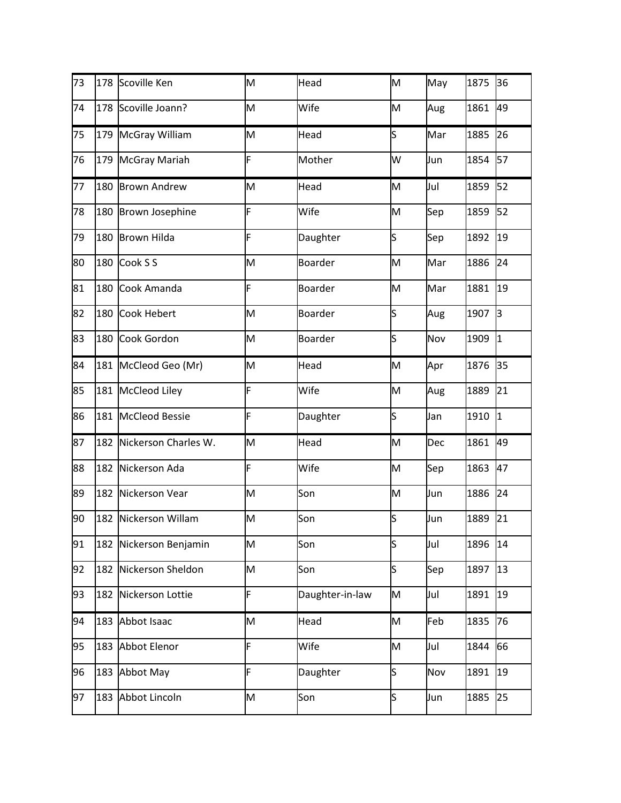| 73 |     | 178 Scoville Ken       | M | Head            | M   | May | 1875 | 36        |
|----|-----|------------------------|---|-----------------|-----|-----|------|-----------|
| 74 | 178 | Scoville Joann?        | M | Wife            | M   | Aug | 1861 | 49        |
| 75 | 179 | McGray William         | M | Head            | ls  | Mar | 1885 | 26        |
| 76 | 179 | <b>McGray Mariah</b>   | F | Mother          | W   | Jun | 1854 | 57        |
| 77 | 180 | <b>Brown Andrew</b>    | M | Head            | M   | Jul | 1859 | 52        |
| 78 | 180 | <b>Brown Josephine</b> | F | Wife            | M   | Sep | 1859 | 52        |
| 79 | 180 | <b>Brown Hilda</b>     | F | Daughter        | S   | Sep | 1892 | 19        |
| 80 | 180 | Cook S S               | M | <b>Boarder</b>  | M   | Mar | 1886 | 24        |
| 81 | 180 | Cook Amanda            | F | <b>Boarder</b>  | M   | Mar | 1881 | 19        |
| 82 | 180 | Cook Hebert            | M | <b>Boarder</b>  | ls  | Aug | 1907 | lз        |
| 83 | 180 | Cook Gordon            | M | <b>Boarder</b>  | S   | Nov | 1909 | $\vert$ 1 |
| 84 | 181 | McCleod Geo (Mr)       | M | Head            | M   | Apr | 1876 | 35        |
| 85 | 181 | <b>McCleod Liley</b>   | F | Wife            | M   | Aug | 1889 | 21        |
| 86 | 181 | <b>McCleod Bessie</b>  | F | Daughter        | s   | Jan | 1910 | $\vert$ 1 |
| 87 | 182 | Nickerson Charles W.   | M | Head            | M   | Dec | 1861 | 49        |
| 88 | 182 | Nickerson Ada          | F | Wife            | M   | Sep | 1863 | 47        |
| 89 | 182 | Nickerson Vear         | M | Son             | M   | Jun | 1886 | 24        |
| 90 |     | 182 Nickerson Willam   | M | Son             | S   | Jun | 1889 | 21        |
| 91 | 182 | Nickerson Benjamin     | M | Son             | S   | Jul | 1896 | 14        |
| 92 | 182 | Nickerson Sheldon      | M | Son             | ls. | Sep | 1897 | 13        |
| 93 | 182 | Nickerson Lottie       | F | Daughter-in-law | M   | Jul | 1891 | 19        |
| 94 | 183 | Abbot Isaac            | M | Head            | M   | Feb | 1835 | 76        |
| 95 | 183 | Abbot Elenor           | F | Wife            | M   | Jul | 1844 | 66        |
| 96 | 183 | Abbot May              | F | Daughter        | ls  | Nov | 1891 | 19        |
| 97 | 183 | Abbot Lincoln          | M | Son             | S   | Jun | 1885 | 25        |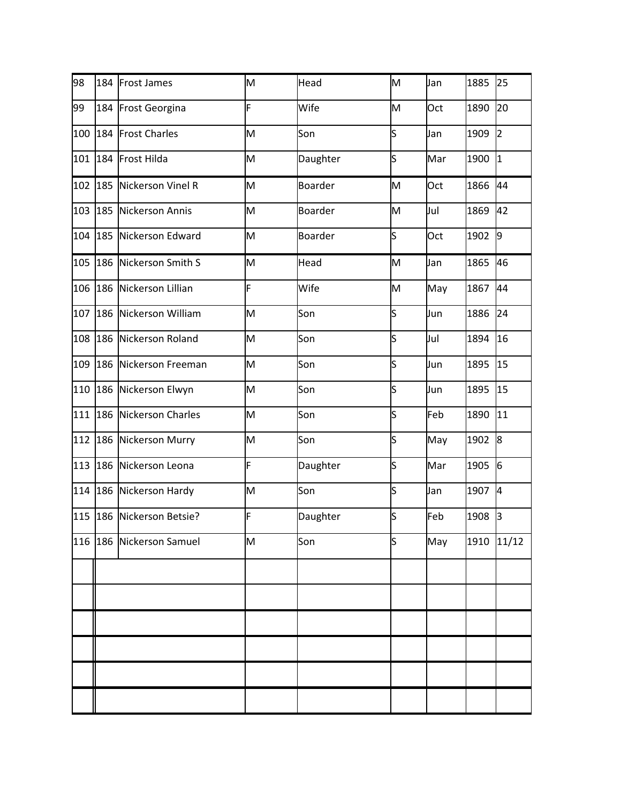| 98  |     | 184 Frost James          | M | Head           | M  | Jan | 1885 | 25             |
|-----|-----|--------------------------|---|----------------|----|-----|------|----------------|
| 99  | 184 | Frost Georgina           | F | Wife           | M  | Oct | 1890 | 20             |
| 100 | 184 | <b>Frost Charles</b>     | M | Son            | S  | Jan | 1909 | $\overline{2}$ |
| 101 | 184 | Frost Hilda              | M | Daughter       | S  | Mar | 1900 | 1              |
| 102 | 185 | Nickerson Vinel R        | M | <b>Boarder</b> | M  | Oct | 1866 | 44             |
| 103 |     | 185 Nickerson Annis      | M | <b>Boarder</b> | M  | Jul | 1869 | 42             |
| 104 | 185 | Nickerson Edward         | M | <b>Boarder</b> | s  | Oct | 1902 | 9              |
| 105 | 186 | Nickerson Smith S        | M | Head           | M  | Jan | 1865 | 46             |
| 106 | 186 | Nickerson Lillian        | F | Wife           | M  | May | 1867 | 44             |
| 107 |     | 186 Nickerson William    | M | Son            | S  | Jun | 1886 | 24             |
| 108 |     | 186 Nickerson Roland     | M | Son            | S  | Jul | 1894 | 16             |
| 109 | 186 | Nickerson Freeman        | M | Son            | S  | Jun | 1895 | 15             |
| 110 |     | 186 Nickerson Elwyn      | M | Son            | s  | Jun | 1895 | 15             |
| 111 | 186 | <b>Nickerson Charles</b> | M | Son            | S  | Feb | 1890 | 11             |
| 112 | 186 | Nickerson Murry          | M | Son            | S  | May | 1902 | 8              |
| 113 |     | 186 Nickerson Leona      | F | Daughter       | ls | Mar | 1905 | 6              |
| 114 |     | 186 Nickerson Hardy      | M | Son            | S  | Jan | 1907 | <sup>4</sup>   |
| 115 |     | 186 Nickerson Betsie?    | F | Daughter       | ls | Feb | 1908 | <sub>3</sub>   |
| 116 |     | 186 Nickerson Samuel     | M | Son            | S  | May | 1910 | 11/12          |
|     |     |                          |   |                |    |     |      |                |
|     |     |                          |   |                |    |     |      |                |
|     |     |                          |   |                |    |     |      |                |
|     |     |                          |   |                |    |     |      |                |
|     |     |                          |   |                |    |     |      |                |
|     |     |                          |   |                |    |     |      |                |